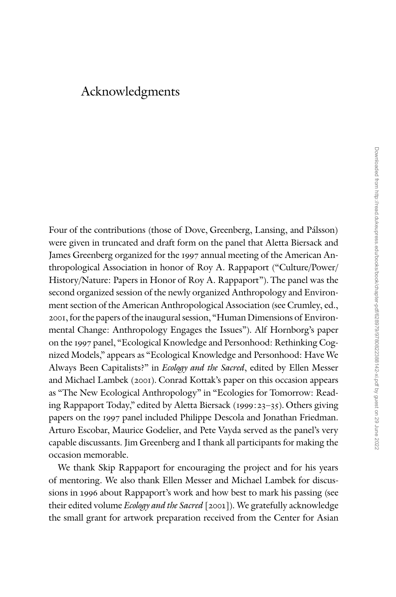## Acknowledgments

Four of the contributions (those of Dove, Greenberg, Lansing, and Pálsson) were given in truncated and draft form on the panel that Aletta Biersack and James Greenberg organized for the 1997 annual meeting of the American Anthropological Association in honor of Roy A. Rappaport (''Culture/Power/ History/Nature: Papers in Honor of Roy A. Rappaport''). The panel was the second organized session of the newly organized Anthropology and Environment section of the American Anthropological Association (see Crumley, ed., 2001, for the papers of the inaugural session, ''Human Dimensions of Environmental Change: Anthropology Engages the Issues''). Alf Hornborg's paper on the 1997 panel, ''Ecological Knowledge and Personhood: Rethinking Cognized Models,'' appears as ''Ecological Knowledge and Personhood: Have We Always Been Capitalists?" in Ecology and the Sacred, edited by Ellen Messer and Michael Lambek (2001). Conrad Kottak's paper on this occasion appears as "The New Ecological Anthropology" in "Ecologies for Tomorrow: Reading Rappaport Today,'' edited by Aletta Biersack (1999:23–35). Others giving papers on the 1997 panel included Philippe Descola and Jonathan Friedman. Arturo Escobar, Maurice Godelier, and Pete Vayda served as the panel's very capable discussants. Jim Greenberg and I thank all participants for making the occasion memorable.

We thank Skip Rappaport for encouraging the project and for his years of mentoring. We also thank Ellen Messer and Michael Lambek for discussions in 1996 about Rappaport's work and how best to mark his passing (see their edited volume *Ecology and the Sacred* [2001]). We gratefully acknowledge the small grant for artwork preparation received from the Center for Asian